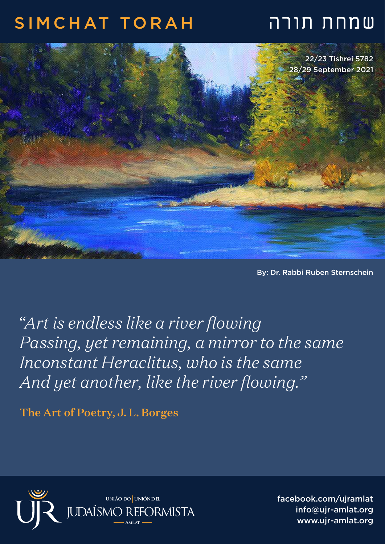## שמחת תורה TORAH SIMCHAT



By: Dr. Rabbi Ruben Sternschein

*"Art is endless like a river flowing Passing, yet remaining, a mirror to the same Inconstant Heraclitus, who is the same And yet another, like the river flowing."*

The Art of Poetry, J. L. Borges



facebook.com/ujramlat info@ujr-amlat.org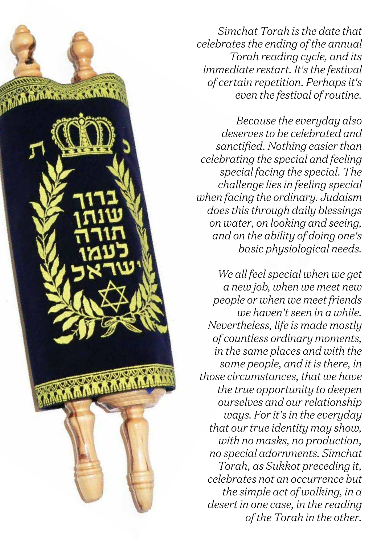*Simchat Torah is the date that celebrates the ending of the annual Torah reading cycle, and its immediate restart. It's the festival of certain repetition. Perhaps it's even the festival of routine.*

*Because the everyday also deserves to be celebrated and sanctified. Nothing easier than celebrating the special and feeling special facing the special. The challenge lies in feeling special when facing the ordinary. Judaism does this through daily blessings on water, on looking and seeing, and on the ability of doing one's basic physiological needs.*

*We all feel special when we get a new job, when we meet new people or when we meet friends we haven't seen in a while. Nevertheless, life is made mostly of countless ordinary moments, in the same places and with the same people, and it is there, in those circumstances, that we have the true opportunity to deepen ourselves and our relationship ways. For it's in the everyday that our true identity may show, with no masks, no production, no special adornments. Simchat Torah, as Sukkot preceding it, celebrates not an occurrence but the simple act of walking, in a desert in one case, in the reading of the Torah in the other.* 

MAIN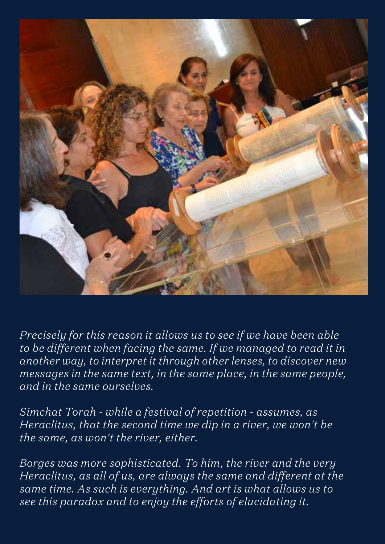

*Precisely for this reason it allows us to see if we have been able to be different when facing the same. If we managed to read it in another way, to interpret it through other lenses, to discover new messages in the same text, in the same place, in the same people, and in the same ourselves.*

*Simchat Torah - while a festival of repetition - assumes, as Heraclitus, that the second time we dip in a river, we won't be the same, as won't the river, either.* 

*Borges was more sophisticated. To him, the river and the very Heraclitus, as all of us, are always the same and different at the same time. As such is everything. And art is what allows us to see this paradox and to enjoy the efforts of elucidating it.*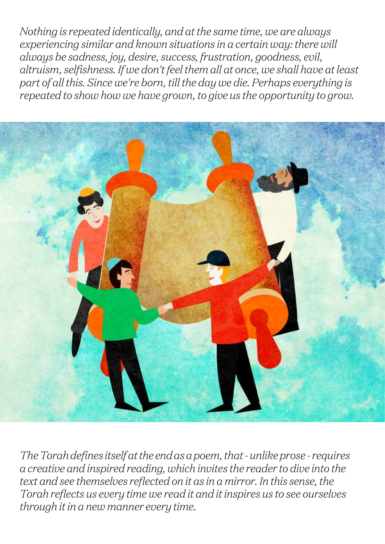*Nothing is repeated identically, and at the same time, we are always experiencing similar and known situations in a certain way: there will always be sadness, joy, desire, success, frustration, goodness, evil, altruism, selfishness. If we don't feel them all at once, we shall have at least part of all this. Since we're born, till the day we die. Perhaps everything is repeated to show how we have grown, to give us the opportunity to grow.*



*The Torah defines itself at the end as a poem, that - unlike prose - requires a creative and inspired reading, which invites the reader to dive into the text and see themselves reflected on it as in a mirror. In this sense, the Torah reflects us every time we read it and it inspires us to see ourselves through it in a new manner every time.*